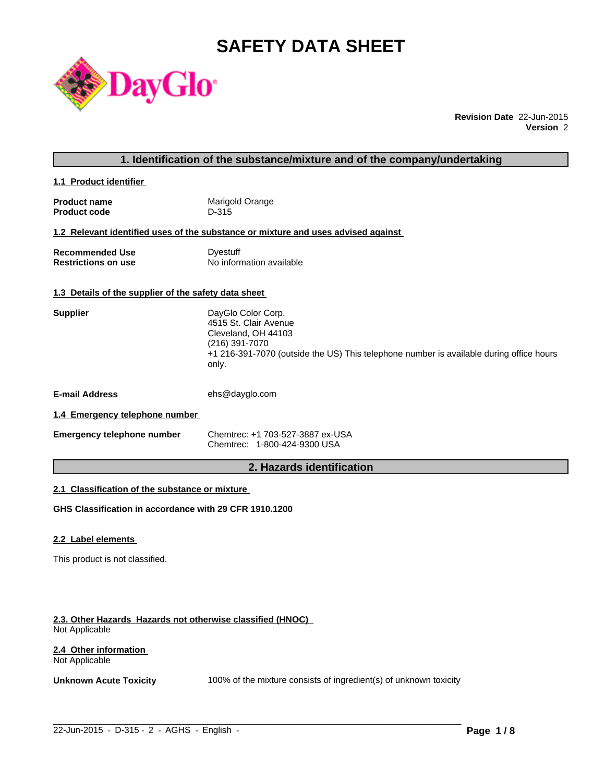# **SAFETY DATA SHEET**



**Revision Date** 22-Jun-2015 **Version** 2

# **1. Identification of the substance/mixture and of the company/undertaking**

**1.1 Product identifier** 

| <b>Product name</b> | Marigold Orange |
|---------------------|-----------------|
| <b>Product code</b> | D-315           |

#### **1.2 Relevant identified uses of the substance or mixture and uses advised against**

| <b>Recommended Use</b>     | Dyestuff                 |
|----------------------------|--------------------------|
| <b>Restrictions on use</b> | No information available |

### **1.3 Details of the supplier of the safety data sheet**

| <b>Supplier</b>       | DayGlo Color Corp.<br>4515 St. Clair Avenue<br>Cleveland, OH 44103<br>(216) 391-7070<br>+1 216-391-7070 (outside the US) This telephone number is available during office hours<br>only. |
|-----------------------|------------------------------------------------------------------------------------------------------------------------------------------------------------------------------------------|
| <b>E-mail Address</b> | ehs@dayglo.com                                                                                                                                                                           |
| .                     |                                                                                                                                                                                          |

# **1.4 Emergency telephone number**

| <b>Emergency telephone number</b> | Chemtrec: +1 703-527-3887 ex-USA |
|-----------------------------------|----------------------------------|
|                                   | Chemtrec: 1-800-424-9300 USA     |

# **2. Hazards identification**

# **2.1 Classification of the substance or mixture**

**GHS Classification in accordance with 29 CFR 1910.1200**

#### **2.2 Label elements**

This product is not classified.

#### **2.3. Other Hazards Hazards not otherwise classified (HNOC)**  Not Applicable

#### **2.4 Other information**  Not Applicable

**Unknown Acute Toxicity** 100% of the mixture consists of ingredient(s) of unknown toxicity

 $\_$  ,  $\_$  ,  $\_$  ,  $\_$  ,  $\_$  ,  $\_$  ,  $\_$  ,  $\_$  ,  $\_$  ,  $\_$  ,  $\_$  ,  $\_$  ,  $\_$  ,  $\_$  ,  $\_$  ,  $\_$  ,  $\_$  ,  $\_$  ,  $\_$  ,  $\_$  ,  $\_$  ,  $\_$  ,  $\_$  ,  $\_$  ,  $\_$  ,  $\_$  ,  $\_$  ,  $\_$  ,  $\_$  ,  $\_$  ,  $\_$  ,  $\_$  ,  $\_$  ,  $\_$  ,  $\_$  ,  $\_$  ,  $\_$  ,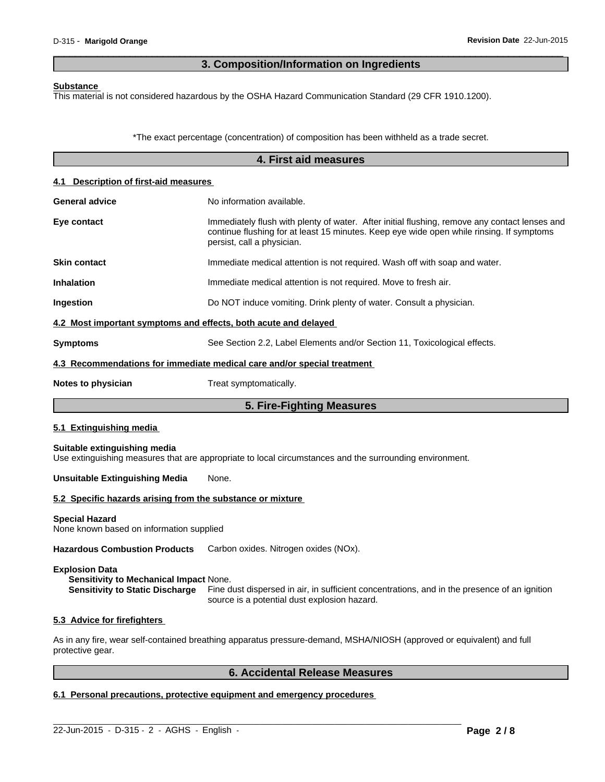# **3. Composition/Information on Ingredients**

 $\overline{\phantom{a}}$  ,  $\overline{\phantom{a}}$  ,  $\overline{\phantom{a}}$  ,  $\overline{\phantom{a}}$  ,  $\overline{\phantom{a}}$  ,  $\overline{\phantom{a}}$  ,  $\overline{\phantom{a}}$  ,  $\overline{\phantom{a}}$  ,  $\overline{\phantom{a}}$  ,  $\overline{\phantom{a}}$  ,  $\overline{\phantom{a}}$  ,  $\overline{\phantom{a}}$  ,  $\overline{\phantom{a}}$  ,  $\overline{\phantom{a}}$  ,  $\overline{\phantom{a}}$  ,  $\overline{\phantom{a}}$ 

#### **Substance**

This material is not considered hazardous by the OSHA Hazard Communication Standard (29 CFR 1910.1200).

\*The exact percentage (concentration) of composition has been withheld as a trade secret.

|                                                                   | 4. First aid measures                                                                                                                                                                                                   |
|-------------------------------------------------------------------|-------------------------------------------------------------------------------------------------------------------------------------------------------------------------------------------------------------------------|
| 4.1 Description of first-aid measures                             |                                                                                                                                                                                                                         |
| <b>General advice</b>                                             | No information available.                                                                                                                                                                                               |
| Eye contact                                                       | Immediately flush with plenty of water. After initial flushing, remove any contact lenses and<br>continue flushing for at least 15 minutes. Keep eye wide open while rinsing. If symptoms<br>persist, call a physician. |
| <b>Skin contact</b>                                               | Immediate medical attention is not required. Wash off with soap and water.                                                                                                                                              |
| Inhalation                                                        | Immediate medical attention is not required. Move to fresh air.                                                                                                                                                         |
| Ingestion                                                         | Do NOT induce vomiting. Drink plenty of water. Consult a physician.                                                                                                                                                     |
| 4.2 Most important symptoms and effects, both acute and delayed   |                                                                                                                                                                                                                         |
| <b>Symptoms</b>                                                   | See Section 2.2, Label Elements and/or Section 11, Toxicological effects.                                                                                                                                               |
|                                                                   | 4.3 Recommendations for immediate medical care and/or special treatment                                                                                                                                                 |
| Notes to physician                                                | Treat symptomatically.                                                                                                                                                                                                  |
|                                                                   | 5. Fire-Fighting Measures                                                                                                                                                                                               |
| 5.1 Extinguishing media                                           |                                                                                                                                                                                                                         |
| Suitable extinguishing media                                      | Use extinguishing measures that are appropriate to local circumstances and the surrounding environment.                                                                                                                 |
| <b>Unsuitable Extinguishing Media</b>                             | None.                                                                                                                                                                                                                   |
| 5.2 Specific hazards arising from the substance or mixture        |                                                                                                                                                                                                                         |
| <b>Special Hazard</b><br>None known based on information supplied |                                                                                                                                                                                                                         |
| <b>Hazardous Combustion Products</b>                              | Carbon oxides. Nitrogen oxides (NOx).                                                                                                                                                                                   |
| <b>Explosion Data</b>                                             |                                                                                                                                                                                                                         |

**Sensitivity to Mechanical Impact** None. **Sensitivity to Static Discharge** Fine dust dispersed in air, in sufficient concentrations, and in the presence of an ignition source is a potential dust explosion hazard.

#### **5.3 Advice for firefighters**

As in any fire, wear self-contained breathing apparatus pressure-demand, MSHA/NIOSH (approved or equivalent) and full protective gear.

 $\_$  ,  $\_$  ,  $\_$  ,  $\_$  ,  $\_$  ,  $\_$  ,  $\_$  ,  $\_$  ,  $\_$  ,  $\_$  ,  $\_$  ,  $\_$  ,  $\_$  ,  $\_$  ,  $\_$  ,  $\_$  ,  $\_$  ,  $\_$  ,  $\_$  ,  $\_$  ,  $\_$  ,  $\_$  ,  $\_$  ,  $\_$  ,  $\_$  ,  $\_$  ,  $\_$  ,  $\_$  ,  $\_$  ,  $\_$  ,  $\_$  ,  $\_$  ,  $\_$  ,  $\_$  ,  $\_$  ,  $\_$  ,  $\_$  ,

# **6. Accidental Release Measures**

# **6.1 Personal precautions, protective equipment and emergency procedures**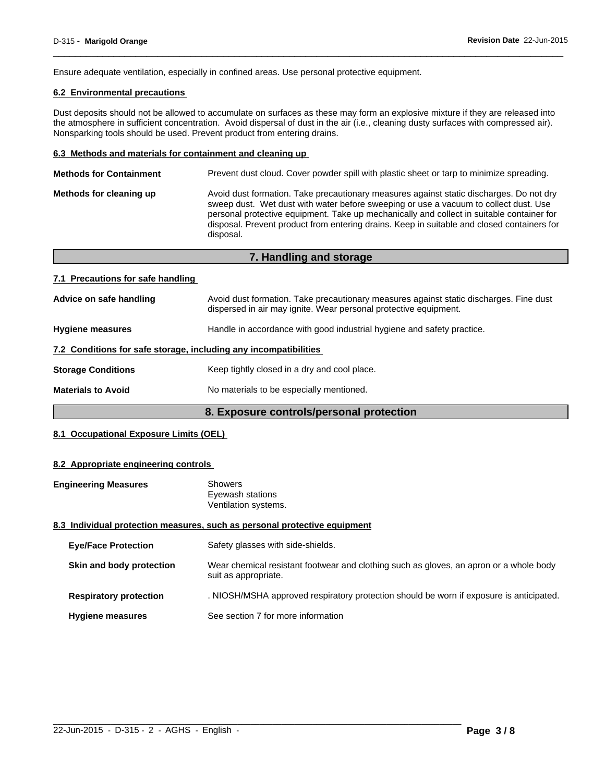Ensure adequate ventilation, especially in confined areas. Use personal protective equipment.

### **6.2 Environmental precautions**

Dust deposits should not be allowed to accumulate on surfaces as these may form an explosive mixture if they are released into the atmosphere in sufficient concentration. Avoid dispersal of dust in the air (i.e., cleaning dusty surfaces with compressed air). Nonsparking tools should be used. Prevent product from entering drains.

 $\overline{\phantom{a}}$  ,  $\overline{\phantom{a}}$  ,  $\overline{\phantom{a}}$  ,  $\overline{\phantom{a}}$  ,  $\overline{\phantom{a}}$  ,  $\overline{\phantom{a}}$  ,  $\overline{\phantom{a}}$  ,  $\overline{\phantom{a}}$  ,  $\overline{\phantom{a}}$  ,  $\overline{\phantom{a}}$  ,  $\overline{\phantom{a}}$  ,  $\overline{\phantom{a}}$  ,  $\overline{\phantom{a}}$  ,  $\overline{\phantom{a}}$  ,  $\overline{\phantom{a}}$  ,  $\overline{\phantom{a}}$ 

#### **6.3 Methods and materials for containment and cleaning up**

| <b>Methods for Containment</b> | Prevent dust cloud. Cover powder spill with plastic sheet or tarp to minimize spreading.                                                                                                                                                                                                                                                                                                |
|--------------------------------|-----------------------------------------------------------------------------------------------------------------------------------------------------------------------------------------------------------------------------------------------------------------------------------------------------------------------------------------------------------------------------------------|
| Methods for cleaning up        | Avoid dust formation. Take precautionary measures against static discharges. Do not dry<br>sweep dust. Wet dust with water before sweeping or use a vacuum to collect dust. Use<br>personal protective equipment. Take up mechanically and collect in suitable container for<br>disposal. Prevent product from entering drains. Keep in suitable and closed containers for<br>disposal. |
|                                |                                                                                                                                                                                                                                                                                                                                                                                         |

|                                   | 7. Handling and storage                                                                                                                                    |
|-----------------------------------|------------------------------------------------------------------------------------------------------------------------------------------------------------|
| 7.1 Precautions for safe handling |                                                                                                                                                            |
| Advice on safe handling           | Avoid dust formation. Take precautionary measures against static discharges. Fine dust<br>dispersed in air may ignite. Wear personal protective equipment. |
| <b>Hygiene measures</b>           | Handle in accordance with good industrial hygiene and safety practice.                                                                                     |
|                                   | 7.2 Conditions for safe storage, including any incompatibilities                                                                                           |
| <b>Storage Conditions</b>         | Keep tightly closed in a dry and cool place.                                                                                                               |
| <b>Materials to Avoid</b>         | No materials to be especially mentioned.                                                                                                                   |

# **8. Exposure controls/personal protection**

# **8.1 Occupational Exposure Limits (OEL)**

#### **8.2 Appropriate engineering controls**

| <b>Engineering Measures</b> | <b>Showers</b>                                                            |
|-----------------------------|---------------------------------------------------------------------------|
|                             | Eyewash stations                                                          |
|                             | Ventilation systems.                                                      |
|                             | 8.3 Individual protection measures, such as personal protective equipment |
|                             |                                                                           |

| <b>Eye/Face Protection</b>    | Safety glasses with side-shields.                                                                              |
|-------------------------------|----------------------------------------------------------------------------------------------------------------|
| Skin and body protection      | Wear chemical resistant footwear and clothing such as gloves, an apron or a whole body<br>suit as appropriate. |
| <b>Respiratory protection</b> | . NIOSH/MSHA approved respiratory protection should be worn if exposure is anticipated.                        |
| <b>Hygiene measures</b>       | See section 7 for more information                                                                             |

 $\_$  ,  $\_$  ,  $\_$  ,  $\_$  ,  $\_$  ,  $\_$  ,  $\_$  ,  $\_$  ,  $\_$  ,  $\_$  ,  $\_$  ,  $\_$  ,  $\_$  ,  $\_$  ,  $\_$  ,  $\_$  ,  $\_$  ,  $\_$  ,  $\_$  ,  $\_$  ,  $\_$  ,  $\_$  ,  $\_$  ,  $\_$  ,  $\_$  ,  $\_$  ,  $\_$  ,  $\_$  ,  $\_$  ,  $\_$  ,  $\_$  ,  $\_$  ,  $\_$  ,  $\_$  ,  $\_$  ,  $\_$  ,  $\_$  ,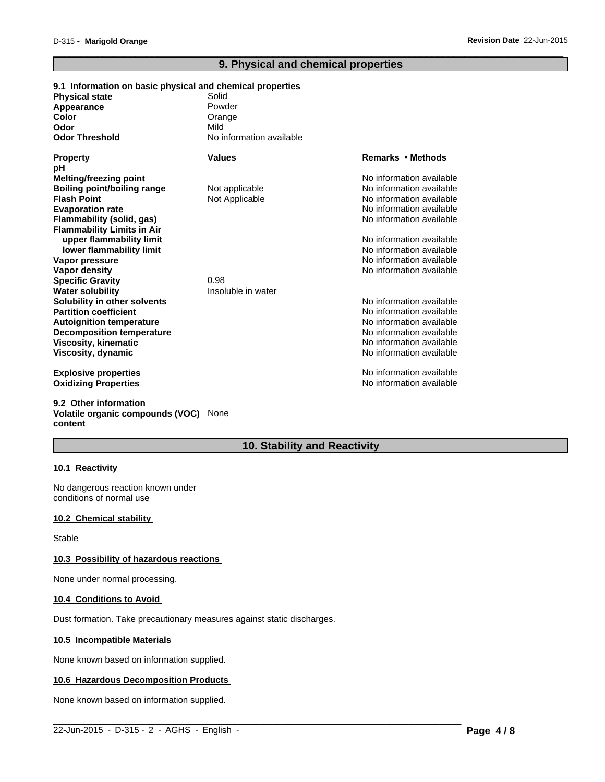# **9. Physical and chemical properties**

 $\overline{\phantom{a}}$  ,  $\overline{\phantom{a}}$  ,  $\overline{\phantom{a}}$  ,  $\overline{\phantom{a}}$  ,  $\overline{\phantom{a}}$  ,  $\overline{\phantom{a}}$  ,  $\overline{\phantom{a}}$  ,  $\overline{\phantom{a}}$  ,  $\overline{\phantom{a}}$  ,  $\overline{\phantom{a}}$  ,  $\overline{\phantom{a}}$  ,  $\overline{\phantom{a}}$  ,  $\overline{\phantom{a}}$  ,  $\overline{\phantom{a}}$  ,  $\overline{\phantom{a}}$  ,  $\overline{\phantom{a}}$ 

| 9.1 Information on basic physical and chemical properties |                          |                          |
|-----------------------------------------------------------|--------------------------|--------------------------|
| <b>Physical state</b>                                     | Solid                    |                          |
| Appearance                                                | Powder                   |                          |
| Color                                                     | Orange                   |                          |
| Odor                                                      | Mild                     |                          |
| Odor Threshold                                            | No information available |                          |
| Property                                                  | Values                   | Remarks • Methods        |
| pН                                                        |                          |                          |
| Melting/freezing point                                    |                          | No information available |
| <b>Boiling point/boiling range</b>                        | Not applicable           | No information available |
| <b>Flash Point</b>                                        | Not Applicable           | No information available |
| <b>Evaporation rate</b>                                   |                          | No information available |
| Flammability (solid, gas)                                 |                          | No information available |
| <b>Flammability Limits in Air</b>                         |                          |                          |
| upper flammability limit                                  |                          | No information available |
| lower flammability limit                                  |                          | No information available |
| Vapor pressure                                            |                          | No information available |
| Vapor density                                             |                          | No information available |
| <b>Specific Gravity</b>                                   | 0.98                     |                          |
| Water solubility                                          | Insoluble in water       |                          |
| Solubility in other solvents                              |                          | No information available |
| <b>Partition coefficient</b>                              |                          | No information available |
| <b>Autoignition temperature</b>                           |                          | No information available |
| <b>Decomposition temperature</b>                          |                          | No information available |
| Viscosity, kinematic                                      |                          | No information available |
| Viscosity, dynamic                                        |                          | No information available |
| <b>Explosive properties</b>                               |                          | No information available |
| <b>Oxidizing Properties</b>                               |                          | No information available |

**9.2 Other information Volatile organic compounds (VOC)** None **content**

# **10. Stability and Reactivity**

 $\_$  ,  $\_$  ,  $\_$  ,  $\_$  ,  $\_$  ,  $\_$  ,  $\_$  ,  $\_$  ,  $\_$  ,  $\_$  ,  $\_$  ,  $\_$  ,  $\_$  ,  $\_$  ,  $\_$  ,  $\_$  ,  $\_$  ,  $\_$  ,  $\_$  ,  $\_$  ,  $\_$  ,  $\_$  ,  $\_$  ,  $\_$  ,  $\_$  ,  $\_$  ,  $\_$  ,  $\_$  ,  $\_$  ,  $\_$  ,  $\_$  ,  $\_$  ,  $\_$  ,  $\_$  ,  $\_$  ,  $\_$  ,  $\_$  ,

# **10.1 Reactivity**

No dangerous reaction known under conditions of normal use

#### **10.2 Chemical stability**

Stable

#### **10.3 Possibility of hazardous reactions**

None under normal processing.

#### **10.4 Conditions to Avoid**

Dust formation. Take precautionary measures against static discharges.

#### **10.5 Incompatible Materials**

None known based on information supplied.

#### **10.6 Hazardous Decomposition Products**

None known based on information supplied.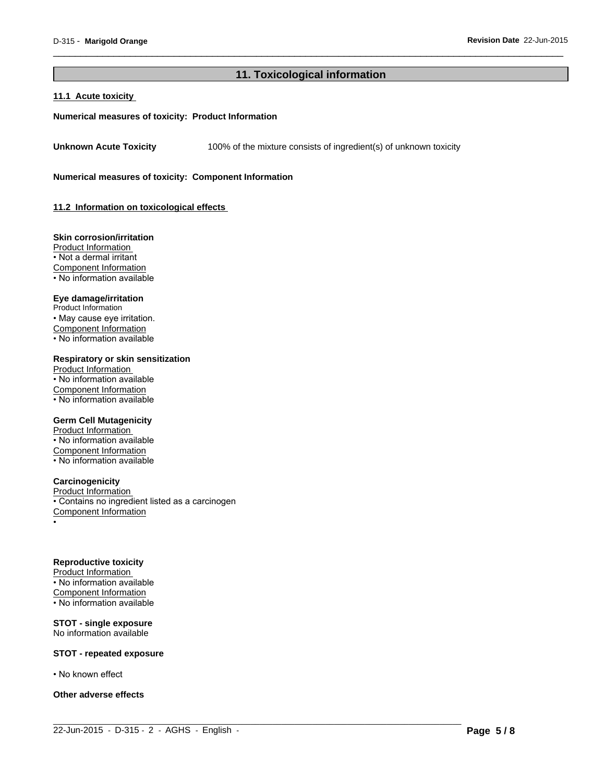# **11. Toxicological information**

 $\_$  ,  $\_$  ,  $\_$  ,  $\_$  ,  $\_$  ,  $\_$  ,  $\_$  ,  $\_$  ,  $\_$  ,  $\_$  ,  $\_$  ,  $\_$  ,  $\_$  ,  $\_$  ,  $\_$  ,  $\_$  ,  $\_$  ,  $\_$  ,  $\_$  ,  $\_$  ,  $\_$  ,  $\_$  ,  $\_$  ,  $\_$  ,  $\_$  ,  $\_$  ,  $\_$  ,  $\_$  ,  $\_$  ,  $\_$  ,  $\_$  ,  $\_$  ,  $\_$  ,  $\_$  ,  $\_$  ,  $\_$  ,  $\_$  ,

 $\overline{\phantom{a}}$  ,  $\overline{\phantom{a}}$  ,  $\overline{\phantom{a}}$  ,  $\overline{\phantom{a}}$  ,  $\overline{\phantom{a}}$  ,  $\overline{\phantom{a}}$  ,  $\overline{\phantom{a}}$  ,  $\overline{\phantom{a}}$  ,  $\overline{\phantom{a}}$  ,  $\overline{\phantom{a}}$  ,  $\overline{\phantom{a}}$  ,  $\overline{\phantom{a}}$  ,  $\overline{\phantom{a}}$  ,  $\overline{\phantom{a}}$  ,  $\overline{\phantom{a}}$  ,  $\overline{\phantom{a}}$ 

#### **11.1 Acute toxicity**

#### **Numerical measures of toxicity: Product Information**

**Unknown Acute Toxicity** 100% of the mixture consists of ingredient(s) of unknown toxicity

**Numerical measures of toxicity: Component Information**

**11.2 Information on toxicological effects** 

#### **Skin corrosion/irritation**

Product Information • Not a dermal irritant Component Information • No information available

#### **Eye damage/irritation**

Product Information • May cause eye irritation. Component Information • No information available

#### **Respiratory or skin sensitization**

Product Information • No information available Component Information • No information available

#### **Germ Cell Mutagenicity**

Product Information • No information available Component Information • No information available

#### **Carcinogenicity**

Product Information • Contains no ingredient listed as a carcinogen Component Information •

#### **Reproductive toxicity**

Product Information • No information available Component Information  $\cdot$  No information available

#### **STOT - single exposure** No information available

#### **STOT - repeated exposure**

• No known effect

#### **Other adverse effects**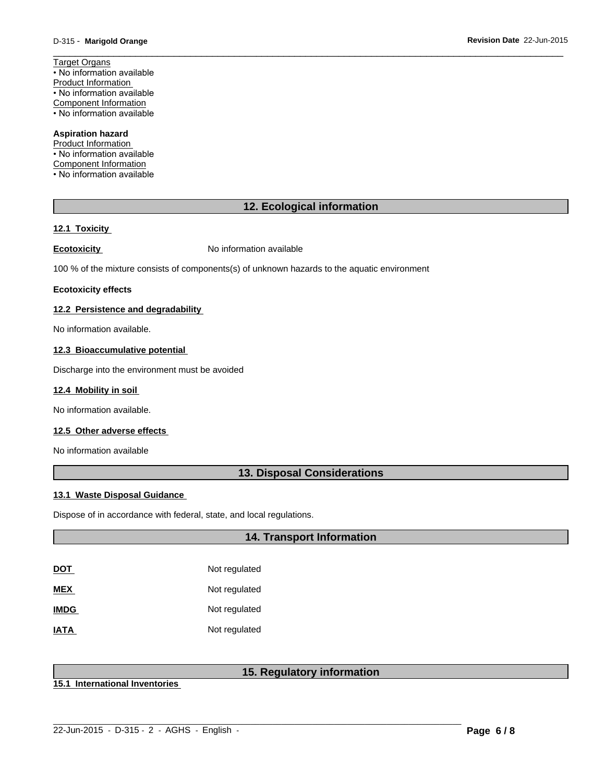**Revision Date** 22-Jun-2015

Target Organs • No information available Product Information • No information available Component Information • No information available

#### **Aspiration hazard**

Product Information • No information available Component Information • No information available

# **12. Ecological information**

 $\overline{\phantom{a}}$  ,  $\overline{\phantom{a}}$  ,  $\overline{\phantom{a}}$  ,  $\overline{\phantom{a}}$  ,  $\overline{\phantom{a}}$  ,  $\overline{\phantom{a}}$  ,  $\overline{\phantom{a}}$  ,  $\overline{\phantom{a}}$  ,  $\overline{\phantom{a}}$  ,  $\overline{\phantom{a}}$  ,  $\overline{\phantom{a}}$  ,  $\overline{\phantom{a}}$  ,  $\overline{\phantom{a}}$  ,  $\overline{\phantom{a}}$  ,  $\overline{\phantom{a}}$  ,  $\overline{\phantom{a}}$ 

#### **12.1 Toxicity**

**Ecotoxicity No information available** 

100 % of the mixture consists of components(s) of unknown hazards to the aquatic environment

#### **Ecotoxicity effects**

### **12.2 Persistence and degradability**

No information available.

#### **12.3 Bioaccumulative potential**

Discharge into the environment must be avoided

#### **12.4 Mobility in soil**

No information available.

# **12.5 Other adverse effects**

No information available

# **13. Disposal Considerations**

#### **13.1 Waste Disposal Guidance**

Dispose of in accordance with federal, state, and local regulations.

# **14. Transport Information**

| <u>DOT</u>  | Not regulated |
|-------------|---------------|
| <b>MEX</b>  | Not regulated |
| <b>IMDG</b> | Not regulated |
| <b>IATA</b> | Not regulated |

# **15. Regulatory information**

 $\_$  ,  $\_$  ,  $\_$  ,  $\_$  ,  $\_$  ,  $\_$  ,  $\_$  ,  $\_$  ,  $\_$  ,  $\_$  ,  $\_$  ,  $\_$  ,  $\_$  ,  $\_$  ,  $\_$  ,  $\_$  ,  $\_$  ,  $\_$  ,  $\_$  ,  $\_$  ,  $\_$  ,  $\_$  ,  $\_$  ,  $\_$  ,  $\_$  ,  $\_$  ,  $\_$  ,  $\_$  ,  $\_$  ,  $\_$  ,  $\_$  ,  $\_$  ,  $\_$  ,  $\_$  ,  $\_$  ,  $\_$  ,  $\_$  ,

**15.1 International Inventories**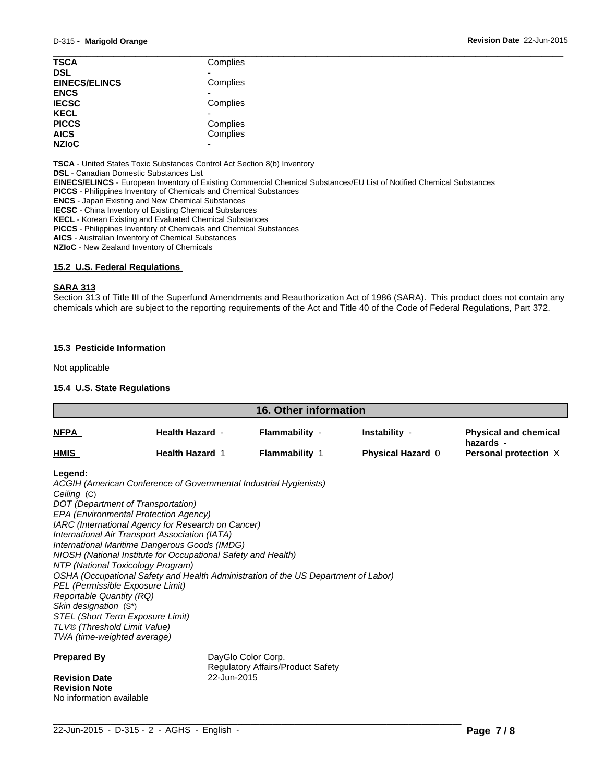| <b>TSCA</b>          | Complies |
|----------------------|----------|
| <b>DSL</b>           |          |
| <b>EINECS/ELINCS</b> | Complies |
| <b>ENCS</b>          |          |
| <b>IECSC</b>         | Complies |
| <b>KECL</b>          |          |
| <b>PICCS</b>         | Complies |
| <b>AICS</b>          | Complies |
| <b>NZIoC</b><br>-    |          |

**TSCA** - United States Toxic Substances Control Act Section 8(b) Inventory

**DSL** - Canadian Domestic Substances List

**EINECS/ELINCS** - European Inventory of Existing Commercial Chemical Substances/EU List of Notified Chemical Substances

**PICCS** - Philippines Inventory of Chemicals and Chemical Substances

**ENCS** - Japan Existing and New Chemical Substances

**IECSC** - China Inventory of Existing Chemical Substances

**KECL** - Korean Existing and Evaluated Chemical Substances

**PICCS** - Philippines Inventory of Chemicals and Chemical Substances

**AICS** - Australian Inventory of Chemical Substances

**NZIoC** - New Zealand Inventory of Chemicals

#### **15.2 U.S. Federal Regulations**

#### **SARA 313**

Section 313 of Title III of the Superfund Amendments and Reauthorization Act of 1986 (SARA). This product does not contain any chemicals which are subject to the reporting requirements of the Act and Title 40 of the Code of Federal Regulations, Part 372.

#### **15.3 Pesticide Information**

Not applicable

#### **15.4 U.S. State Regulations**

| <b>16. Other information</b>                                                                                                                                                                                                                                                                         |                                                                                                                                                                                                                                                                                                                                                                                                                            |                                                                |                                           |                                                                    |
|------------------------------------------------------------------------------------------------------------------------------------------------------------------------------------------------------------------------------------------------------------------------------------------------------|----------------------------------------------------------------------------------------------------------------------------------------------------------------------------------------------------------------------------------------------------------------------------------------------------------------------------------------------------------------------------------------------------------------------------|----------------------------------------------------------------|-------------------------------------------|--------------------------------------------------------------------|
| <u>NFPA</u>                                                                                                                                                                                                                                                                                          | <b>Health Hazard -</b><br><b>Health Hazard 1</b>                                                                                                                                                                                                                                                                                                                                                                           | Flammability -<br><b>Flammability 1</b>                        | Instability -<br><b>Physical Hazard 0</b> | <b>Physical and chemical</b><br>hazards -<br>Personal protection X |
| HMIS                                                                                                                                                                                                                                                                                                 |                                                                                                                                                                                                                                                                                                                                                                                                                            |                                                                |                                           |                                                                    |
| Legend:<br>Ceiling (C)<br>DOT (Department of Transportation)<br>NTP (National Toxicology Program)<br>PEL (Permissible Exposure Limit)<br>Reportable Quantity (RQ)<br>Skin designation (S*)<br><b>STEL (Short Term Exposure Limit)</b><br>TLV® (Threshold Limit Value)<br>TWA (time-weighted average) | ACGIH (American Conference of Governmental Industrial Hygienists)<br>EPA (Environmental Protection Agency)<br>IARC (International Agency for Research on Cancer)<br>International Air Transport Association (IATA)<br>International Maritime Dangerous Goods (IMDG)<br>NIOSH (National Institute for Occupational Safety and Health)<br>OSHA (Occupational Safety and Health Administration of the US Department of Labor) |                                                                |                                           |                                                                    |
| <b>Prepared By</b><br><b>Revision Date</b>                                                                                                                                                                                                                                                           | 22-Jun-2015                                                                                                                                                                                                                                                                                                                                                                                                                | DayGlo Color Corp.<br><b>Regulatory Affairs/Product Safety</b> |                                           |                                                                    |
| <b>Revision Note</b>                                                                                                                                                                                                                                                                                 |                                                                                                                                                                                                                                                                                                                                                                                                                            |                                                                |                                           |                                                                    |

No information available

 $\_$  ,  $\_$  ,  $\_$  ,  $\_$  ,  $\_$  ,  $\_$  ,  $\_$  ,  $\_$  ,  $\_$  ,  $\_$  ,  $\_$  ,  $\_$  ,  $\_$  ,  $\_$  ,  $\_$  ,  $\_$  ,  $\_$  ,  $\_$  ,  $\_$  ,  $\_$  ,  $\_$  ,  $\_$  ,  $\_$  ,  $\_$  ,  $\_$  ,  $\_$  ,  $\_$  ,  $\_$  ,  $\_$  ,  $\_$  ,  $\_$  ,  $\_$  ,  $\_$  ,  $\_$  ,  $\_$  ,  $\_$  ,  $\_$  , 22-Jun-2015 - D-315 - 2 - AGHS - English - **Page 7 / 8**